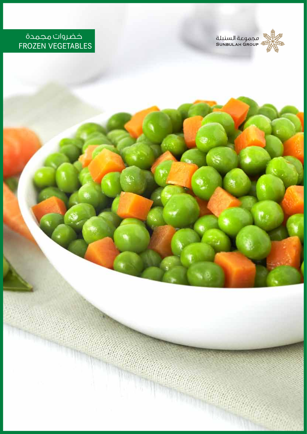

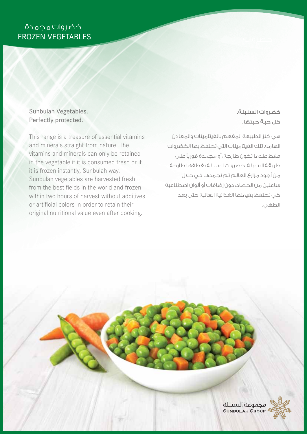### Sunbulah Vegetables. Perfectly protected.

This range is a treasure of essential vitamins and minerals straight from nature. The vitamins and minerals can only be retained in the vegetable if it is consumed fresh or if it is frozen instantly, Sunbulah way. Sunbulah vegetables are harvested fresh from the best fields in the world and frozen within two hours of harvest without additives or artificial colors in order to retain their original nutritional value even after cooking.

## خضروات السنبلة. كل حبة حبتها.

هي كنز الطبيعة المفعم بالفيتامينات والمعادن الهامة. تلك الفيتامينات التي تحتفظ بها الخضروات فقط عندما تكون طازجة، أو مجمدة فوري على طريقة السنبلة. خضروات السنبلة نقطفها طازجة من أجود مزارع العالم ثم نجمدها في خلال ساعتين من الحصاد، دون إضافات أو ألوان اصطناعية كي تحتفظ بقيمتها الغذائية العالية حتى بعد الطهي.

> محموعة السنىلة SUNBULAH GROUP

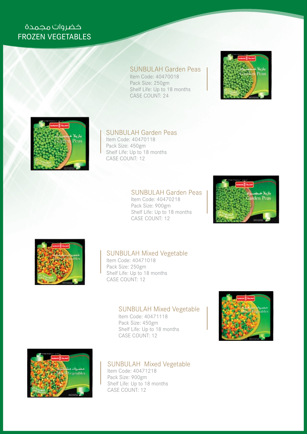## SUNBULAH Garden Peas

Item Code: 40470018 Pack Size: 250gm Shelf Life: Up to 18 months CASE COUNT: 24





### SUNBULAH Garden Peas

Item Code: 40470118 Pack Size: 450gm Shelf Life: Up to 18 months CASE COUNT: 12

## SUNBULAH Garden Peas

Item Code: 40470218 Pack Size: 900gm Shelf Life: Up to 18 months CASE COUNT: 12





## SUNBULAH Mixed Vegetable

Item Code: 40471018 Pack Size: 250gm Shelf Life: Up to 18 months CASE COUNT: 12

#### SUNBULAH Mixed Vegetable

Item Code: 40471118 Pack Size: 450gm Shelf Life: Up to 18 months CASE COUNT: 12





### SUNBULAH Mixed Vegetable

Item Code: 40471218 Pack Size: 900gm Shelf Life: Up to 18 months CASE COUNT: 12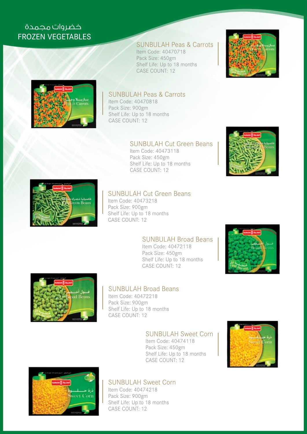## SUNBULAH Peas & Carrots

Item Code: 40470718 Pack Size: 450gm Shelf Life: Up to 18 months CASE COUNT: 12





### SUNBULAH Peas & Carrots

Item Code: 40470818 Pack Size: 900gm Shelf Life: Up to 18 months CASE COUNT: 12

#### SUNBULAH Cut Green Beans

Item Code: 40473118 Pack Size: 450gm Shelf Life: Up to 18 months CASE COUNT: 12





## SUNBULAH Cut Green Beans

Item Code: 40473218 Pack Size: 900gm Shelf Life: Up to 18 months CASE COUNT: 12

#### SUNBULAH Broad Beans

Item Code: 40472118 Pack Size: 450gm Shelf Life: Up to 18 months CASE COUNT: 12





#### SUNBULAH Broad Beans

Item Code: 40472218 Pack Size: 900gm Shelf Life: Up to 18 months CASE COUNT: 12

#### SUNBULAH Sweet Corn

Item Code: 40474118 Pack Size: 450gm Shelf Life: Up to 18 months CASE COUNT: 12





## SUNBULAH Sweet Corn

Item Code: 40474218 Pack Size: 900gm Shelf Life: Up to 18 months CASE COUNT: 12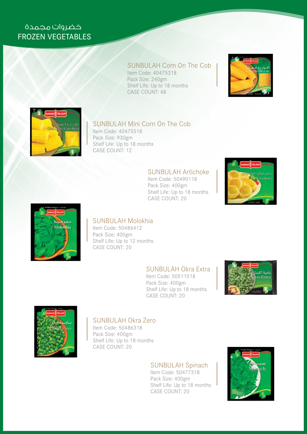### SUNBULAH Corn On The Cob

Item Code: 40475318 Pack Size: 240gm Shelf Life: Up to 18 months CASE COUNT: 48





## SUNBULAH Mini Corn On The Cob

Item Code: 40475518 Pack Size: 930gm Shelf Life: Up to 18 months CASE COUNT: 12

### SUNBULAH Artichoke

Item Code: 50490118 Pack Size: 400gm Shelf Life: Up to 18 months CASE COUNT: 20





#### SUNBULAH Molokhia

Item Code: 50486412 Pack Size: 400gm Shelf Life: Up to 12 months CASE COUNT: 20

### SUNBULAH Okra Extra

Item Code: 50511518 Pack Size: 400gm Shelf Life: Up to 18 months CASE COUNT: 20





#### SUNBULAH Okra Zero

Item Code: 50486318 Pack Size: 400gm Shelf Life: Up to 18 months CASE COUNT: 20

## SUNBULAH Spinach

Item Code: 50477318 Pack Size: 400gm Shelf Life: Up to 18 months CASE COUNT: 20

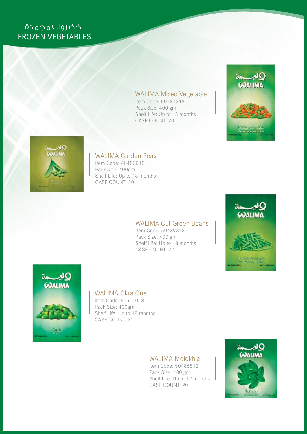#### WALIMA Mixed Vegetable

Item Code: 50487318 Pack Size: 400 gm Shelf Life: Up to 18 months CASE COUNT: 20





### WALIMA Garden Peas

Item Code: 40480018 Pack Size: 400gm Shelf Life: Up to 18 months CASE COUNT: 20

#### WALIMA Cut Green Beans

Item Code: 50489318 Pack Size: 400 gm Shelf Life: Up to 18 months CASE COUNT: 20





#### WALIMA Okra One

Item Code: 50511018 Pack Size: 400gm Shelf Life: Up to 18 months CASE COUNT: 20

### WALIMA Molokhia

Item Code: 50486512 Pack Size: 400 gm Shelf Life: Up to 12 months CASE COUNT: 20